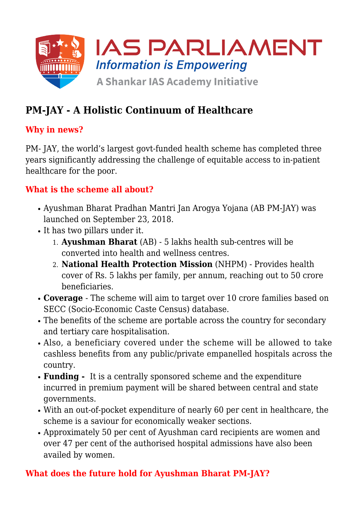

# **PM-JAY - A Holistic Continuum of Healthcare**

## **Why in news?**

PM- JAY, the world's largest govt-funded health scheme has completed three years significantly addressing the challenge of equitable access to in-patient healthcare for the poor.

### **What is the scheme all about?**

- Ayushman Bharat Pradhan Mantri Jan Arogya Yojana (AB PM-JAY) was launched on September 23, 2018.
- It has two pillars under it.
	- 1. **Ayushman Bharat** (AB) 5 lakhs health sub-centres will be converted into health and wellness centres.
	- 2. **National Health Protection Mission** (NHPM) Provides health cover of Rs. 5 lakhs per family, per annum, reaching out to 50 crore beneficiaries.
- **Coverage**  The scheme will aim to target over 10 crore families based on SECC (Socio-Economic Caste Census) database.
- The benefits of the scheme are portable across the country for secondary and tertiary care hospitalisation.
- Also, a beneficiary covered under the scheme will be allowed to take cashless benefits from any public/private empanelled hospitals across the country.
- **Funding** It is a centrally sponsored scheme and the expenditure incurred in premium payment will be shared between central and state governments.
- With an out-of-pocket expenditure of nearly 60 per cent in healthcare, the scheme is a saviour for economically weaker sections.
- Approximately 50 per cent of Ayushman card recipients are women and over 47 per cent of the authorised hospital admissions have also been availed by women.

# **What does the future hold for Ayushman Bharat PM-JAY?**